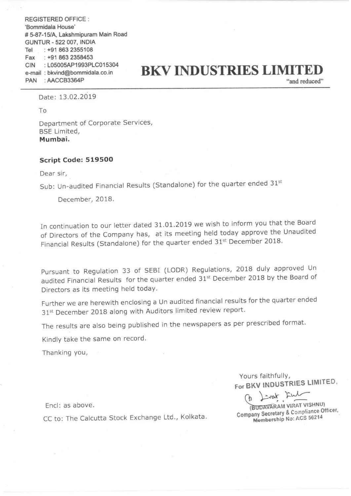REGISTERED OFFICE : 'Bommidala House' # 5-87-15/A, Lakshmipuram Main Road GUNTUR - 522 007. INDIA Tel : +91 863 2355108 Fax : +91 863 2358453 CIN : L05005AP1993PLC015304 PAN : AACCB3364P

# $P_{\text{EM}}$ : LO5005AP1993PLC015304<br>  $P_{\text{AM}}$ : AACCB3364P<br>  $P_{\text{AM}}$  : AACCB3364P

Date: 13.02.2019

To

Department of Corporate Services, BSE Limited, Mumbai.

#### Script Code: 519500

Dear sir,

Sub: Un-audited Financial Results (Standalone) for the quarter ended 31st

December, 2018.

In continuation to our letter dated 31.01.2019 we wish to inform you that the Board of Directors of the Company has, at its meeting held today approve the Unaudited Financial Results (Standalone) for the quarter ended 31<sup>st</sup> December 2018.

Pursuant to Regulation <sup>33</sup> of SEBI (LODR) Regulations, <sup>2018</sup> duly approved Un audited Financial Results for the quarter ended  $31^{st}$  December 2018 by the Board of Directors as its meeting held today.

Further we are herewith enclosing <sup>a</sup> Un audited financial results for the quarter ended 31st December 2018 along with Auditors limited review report.

The results are also being published in the newspapers as per prescribed format.

Kindly take the same on record.

Thanking you,

Yours faithfully, For BKV INDUSTRIES LIMITED.

 $\blacksquare$  End: as above.

CC to: The Calcutta Stock Exchange Ltd., Kolkata. CC to: The Calcutta Stock Exchange Ltd., Kolkata.

D I wat Lul **EXARAM VIRAT VISHNOT**<br>Secretary & Compliance Officer.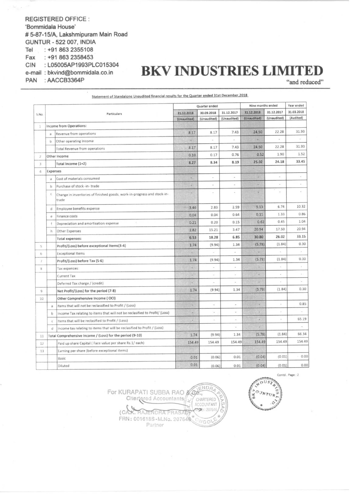**REGISTERED OFFICE:** 'Bommidala House' #5-87-15/A, Lakshmipuram Main Road **GUNTUR - 522 007, INDIA** Tel : +91 863 2355108 Fax : +91 863 2358453 CIN : L05005AP1993PLC015304 e-mail: bkvind@bommidala.co.in PAN : AACCB3364P

## **BKV INDUSTRIES LIMITED**

"and reduced"

| S.No.           |                |                                                                                  | Quarter ended             |             |                           | Nine months ended         |                           | Year ended              |
|-----------------|----------------|----------------------------------------------------------------------------------|---------------------------|-------------|---------------------------|---------------------------|---------------------------|-------------------------|
|                 | Particulars    |                                                                                  | 31.12.2018<br>(Unaudited) | 30.09.2018  | 31.12.2017<br>(Unaudited) | 31.12.2018<br>(Unaudited) | 31.12.2017<br>(Unaudited) | 31.03.2018<br>(Audited) |
|                 |                |                                                                                  |                           | (Unaudited) |                           |                           |                           |                         |
| 1               |                | Income from Operations:                                                          |                           |             |                           |                           |                           |                         |
|                 | $\overline{a}$ | Revenue from operations                                                          | 8.17                      | 8.17        | 7.43                      | 24.50                     | 22.28                     | 31.93                   |
|                 | b              | Other operating Income                                                           | $\sim$                    |             |                           |                           |                           |                         |
|                 |                | <b>Total Revenue from operations</b>                                             | 8.17                      | 8.17        | 7.43                      | 24.50                     | 22.28                     | 31.93                   |
|                 |                | Other Income                                                                     | 0.10                      | 0.17        | 0.76                      | 0.52                      | 1.90                      | 1.52                    |
| 3               |                | Total Income (1+2)                                                               | 8.27                      | 8.34        | 8.19                      | 25.02                     | 24.18                     | 33.45                   |
| 4               | Expenses       |                                                                                  |                           |             |                           |                           |                           |                         |
|                 | $\overline{a}$ | Cost of materials consumed                                                       |                           |             | $\sim$                    | u                         | $\sim$                    | ÷                       |
|                 | b              | Purchase of stock -in-trade                                                      | ×                         | u           | $\overline{\phantom{a}}$  | ٥                         | $\sim$                    | $\mathcal{P}$           |
|                 | $\mathsf C$    | Change in inventories of finished goods, work-in-progress and stock-in-<br>trade |                           | ×,          |                           | φ                         | ÷                         | ×                       |
|                 | d              | Employee benefits expense                                                        | 3.46                      | 2.83        | 2.59                      | 9.13                      | 6.74                      | 10.32                   |
|                 | e              | Finance costs                                                                    | 0.04                      | 0.04        | 0.64                      | 0.11                      | 1.33                      | 0.86                    |
|                 |                | Depreciation and amortisation expense                                            | 0.21                      | 0.20        | 0.15                      | 0.62                      | 0.45                      | 1.04                    |
|                 | h              | Other Expenses                                                                   | 2.82                      | 15.21       | 3.47                      | 20.94                     | 17.50                     | 20.94                   |
|                 |                | <b>Total expenses:</b>                                                           | 6.53                      | 18.28       | 6.85                      | 30.80                     | 26.02                     | 33.15                   |
| 5               |                | Profit/(Loss) before exceptional Items(3-4)                                      | 1.74                      | (9.94)      | 1.34                      | (5.78)                    | (1.84)                    | 0.30                    |
| 6               |                | <b>Exceptional Items</b>                                                         | ×                         | ×,          | $\overline{\phantom{a}}$  | ٧                         | $\overline{\phantom{a}}$  |                         |
| 7               |                | Profit/(Loss) before Tax (5-6)                                                   | 1.74                      | (9.94)      | 1.34                      | (5.78)                    | (1.84)                    | 0.30                    |
| 8               |                | Tax expences:                                                                    | ÷.                        | $\omega$    | $\bar{a}$                 | $\overline{a}$            | $\overline{\phantom{a}}$  | ş                       |
|                 |                | Current Tax                                                                      |                           | ¥           | ÷                         | a                         | $\omega$                  | $\sim$                  |
|                 |                | Deferred Tax charge / (credit)                                                   | W.                        | ×,          |                           | ٠                         | ×                         | à.                      |
| 9               |                | Net Profit/(Loss) for the period (7-8)                                           | 1.74                      | (9.94)      | 1.34                      | (5.78)                    | (1.84)                    | 0.30                    |
| 10 <sup>°</sup> |                | Other Comprehensive Income (OCI)                                                 |                           |             |                           |                           |                           |                         |
|                 | a              | Items that will not be reclassified to Profit / (Loss)                           | n.                        | ä,          |                           | u                         |                           | 0.85                    |
|                 | b              | Income Tax relating to items that will not be reclasified to Profit/ (Loss)      |                           | ×           | ä,                        | $\rightarrow$             |                           |                         |
|                 | c              | Items that will be reclasified to Profit / (Loss)                                |                           |             |                           |                           |                           | 65.19                   |
|                 | d              | Income tax relating to items that will be reclasified to Profit / (Loss)         |                           |             |                           |                           |                           |                         |
| 11              |                | Total Comprehensive Income / (Loss) for the period (9-10)                        | 1.74                      | (9.94)      | 1.34                      | (5.78)                    | (1.84)                    | 66.34                   |
| 12              |                | Paid up share Capital (Face value per share Rs.1/each)                           | 154.49                    | 154.49      | 154.49                    | 154.49                    | 154.49                    | 154.49                  |
| 13              |                | Earning per share (before exceptional items)                                     |                           |             |                           |                           |                           |                         |
|                 |                | Basic                                                                            | 0.01                      | (0.06)      | 0.01                      | (0.04)                    | (0.01)                    | 0.00                    |
|                 |                | Diluted                                                                          | 0.01                      | (0.06)      | 0.01                      | (0.04)                    | (0.01)                    | 0.00                    |

Statement of Standalone Unaudited financial results for the Quarter ended 31st December, 2018

ENDA For KURAPATI SUBBA RAO & Co ×× Chartered Accountants/ CHARTERED ACCOUNTANT to: 20764 AJENDRA PRASAT FRN: 001618S-M.No. 207646 VGO<sup>1</sup> Partner

Contd., Page: 2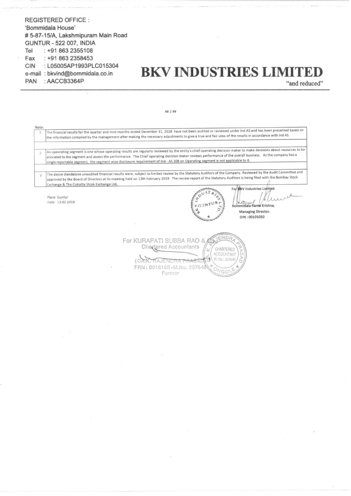#### **REGISTERED OFFICE:** 'Bommidala House' # 5-87-15/A, Lakshmipuram Main Road **GUNTUR - 522 007, INDIA** : +91 863 2355108 Tel Fax : +91 863 2358453 : L05005AP1993PLC015304 **CIN** e-mail: bkvind@bommidala.co.in PAN : AACCB3364P

### **BKV INDUSTRIES LIMITE!**

**Managing Director.** DIN: 00105030

"and reduced"

Note: The financial results for the quarter and nine months ended December 31, 2018 have not been audited or reviewed under Ind AS and has been presented based on the information compiled by the management after making the necessary adjustments to give a true and fair view of the results in accordance with Ind AS. An opeerating segment is one whose operating results are regularly reviewed by the entity's chief operating decision maker to make decisions about resources to be  $\overline{2}$ allocated to the segment and assess the performance. The Chief operating decision maker reviews performance of the overall business. As the company has a single reportable segment, the segment wise disclosure requirement of Ind - AS 108 on Operating segment is not applicable to it. The above standalone unaudited financial results were, subject to limited review by the Statutory Auditors of the Company. Reviewed by the Audit Committee and  $\overline{3}$ approved by the Board of Directors at its meeting held on 13th February 2019. The review report of the Statutory Auditors is being filed with the Bombay Stock Exchange & The Culcatta Stcok Exchange Ltd, For BKV Industries Limited  $S$ <sup>T</sup> Place: Guntur Δ Date: 13.02.2019 Bommidala Rama Krishna,

ENDA For KURAPATI SUBBA RAO & Chartered Accountants CHARTERED ACCOUNTANT M. No: 207646  $\overline{C}$ RAJENDR<del>A PRASAD</del> FRN: 001618S-M.No. 207646  $IGO$ Partner

## 2 ##